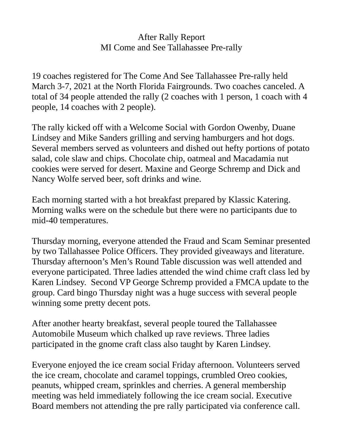## After Rally Report MI Come and See Tallahassee Pre-rally

19 coaches registered for The Come And See Tallahassee Pre-rally held March 3-7, 2021 at the North Florida Fairgrounds. Two coaches canceled. A total of 34 people attended the rally (2 coaches with 1 person, 1 coach with 4 people, 14 coaches with 2 people).

The rally kicked off with a Welcome Social with Gordon Owenby, Duane Lindsey and Mike Sanders grilling and serving hamburgers and hot dogs. Several members served as volunteers and dished out hefty portions of potato salad, cole slaw and chips. Chocolate chip, oatmeal and Macadamia nut cookies were served for desert. Maxine and George Schremp and Dick and Nancy Wolfe served beer, soft drinks and wine.

Each morning started with a hot breakfast prepared by Klassic Katering. Morning walks were on the schedule but there were no participants due to mid-40 temperatures.

Thursday morning, everyone attended the Fraud and Scam Seminar presented by two Tallahassee Police Officers. They provided giveaways and literature. Thursday afternoon's Men's Round Table discussion was well attended and everyone participated. Three ladies attended the wind chime craft class led by Karen Lindsey. Second VP George Schremp provided a FMCA update to the group. Card bingo Thursday night was a huge success with several people winning some pretty decent pots.

After another hearty breakfast, several people toured the Tallahassee Automobile Museum which chalked up rave reviews. Three ladies participated in the gnome craft class also taught by Karen Lindsey.

Everyone enjoyed the ice cream social Friday afternoon. Volunteers served the ice cream, chocolate and caramel toppings, crumbled Oreo cookies, peanuts, whipped cream, sprinkles and cherries. A general membership meeting was held immediately following the ice cream social. Executive Board members not attending the pre rally participated via conference call.